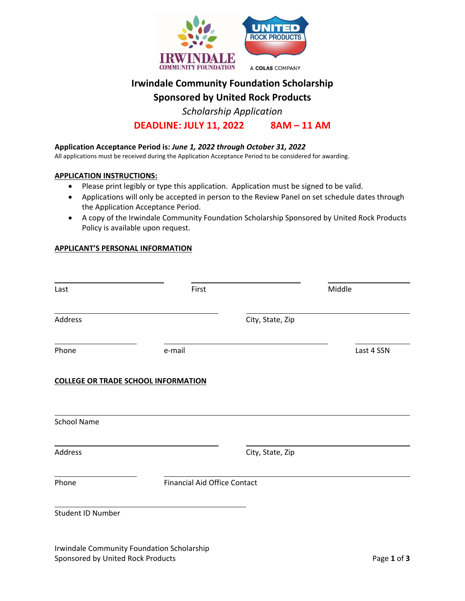

# **Irwindale Community Foundation Scholarship**

**Sponsored by United Rock Products** 

*Scholarship Application* 

**DEADLINE: JULY 11, 2022 8AM – 11 AM** 

# **Application Acceptance Period is:** *June 1, 2022 through October 31, 2022*

All applications must be received during the Application Acceptance Period to be considered for awarding.

## **APPLICATION INSTRUCTIONS:**

- Please print legibly or type this application. Application must be signed to be valid.
- Applications will only be accepted in person to the Review Panel on set schedule dates through the Application Acceptance Period.
- A copy of the Irwindale Community Foundation Scholarship Sponsored by United Rock Products Policy is available upon request.

## **APPLICANT'S PERSONAL INFORMATION**

| Last                                       | First                               |                  | Middle     |
|--------------------------------------------|-------------------------------------|------------------|------------|
| Address                                    |                                     | City, State, Zip |            |
| Phone                                      | e-mail                              |                  | Last 4 SSN |
| <b>COLLEGE OR TRADE SCHOOL INFORMATION</b> |                                     |                  |            |
| <b>School Name</b>                         |                                     |                  |            |
| Address                                    |                                     | City, State, Zip |            |
| Phone                                      | <b>Financial Aid Office Contact</b> |                  |            |
| Student ID Number                          |                                     |                  |            |
|                                            |                                     |                  |            |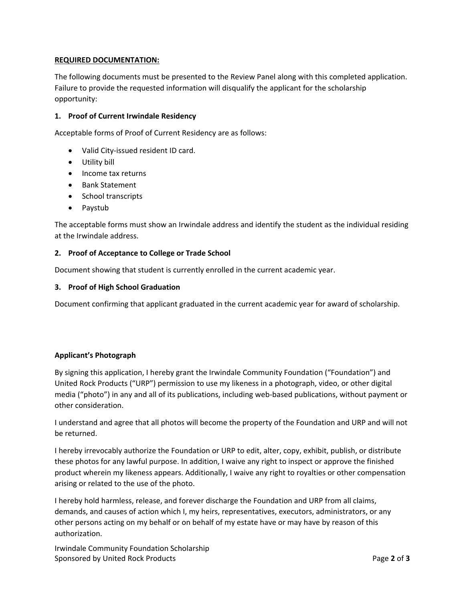# **REQUIRED DOCUMENTATION:**

The following documents must be presented to the Review Panel along with this completed application. Failure to provide the requested information will disqualify the applicant for the scholarship opportunity:

# **1. Proof of Current Irwindale Residency**

Acceptable forms of Proof of Current Residency are as follows:

- Valid City-issued resident ID card.
- Utility bill
- Income tax returns
- Bank Statement
- School transcripts
- Paystub

The acceptable forms must show an Irwindale address and identify the student as the individual residing at the Irwindale address.

## **2. Proof of Acceptance to College or Trade School**

Document showing that student is currently enrolled in the current academic year.

#### **3. Proof of High School Graduation**

Document confirming that applicant graduated in the current academic year for award of scholarship.

# **Applicant's Photograph**

By signing this application, I hereby grant the Irwindale Community Foundation ("Foundation") and United Rock Products ("URP") permission to use my likeness in a photograph, video, or other digital media ("photo") in any and all of its publications, including web‐based publications, without payment or other consideration.

I understand and agree that all photos will become the property of the Foundation and URP and will not be returned.

I hereby irrevocably authorize the Foundation or URP to edit, alter, copy, exhibit, publish, or distribute these photos for any lawful purpose. In addition, I waive any right to inspect or approve the finished product wherein my likeness appears. Additionally, I waive any right to royalties or other compensation arising or related to the use of the photo.

I hereby hold harmless, release, and forever discharge the Foundation and URP from all claims, demands, and causes of action which I, my heirs, representatives, executors, administrators, or any other persons acting on my behalf or on behalf of my estate have or may have by reason of this authorization.

Irwindale Community Foundation Scholarship Sponsored by United Rock Products **Constanting the Constantine Page 2** of 3